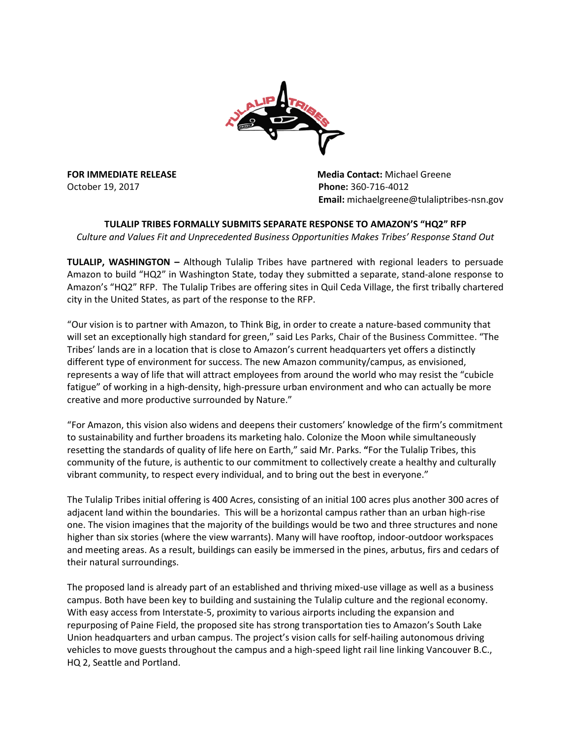

October 19, 2017 **Phone:** 360-716-4012

**FOR IMMEDIATE RELEASE MEDIATION CONTACT:** Media Contact: Michael Greene  **Email:** michaelgreene@tulaliptribes-nsn.gov

**TULALIP TRIBES FORMALLY SUBMITS SEPARATE RESPONSE TO AMAZON'S "HQ2" RFP** *Culture and Values Fit and Unprecedented Business Opportunities Makes Tribes' Response Stand Out*

**TULALIP, WASHINGTON –** Although Tulalip Tribes have partnered with regional leaders to persuade Amazon to build "HQ2" in Washington State, today they submitted a separate, stand-alone response to Amazon's "HQ2" RFP. The Tulalip Tribes are offering sites in Quil Ceda Village, the first tribally chartered city in the United States, as part of the response to the RFP.

"Our vision is to partner with Amazon, to Think Big, in order to create a nature-based community that will set an exceptionally high standard for green," said Les Parks, Chair of the Business Committee. "The Tribes' lands are in a location that is close to Amazon's current headquarters yet offers a distinctly different type of environment for success. The new Amazon community/campus, as envisioned, represents a way of life that will attract employees from around the world who may resist the "cubicle fatigue" of working in a high-density, high-pressure urban environment and who can actually be more creative and more productive surrounded by Nature."

"For Amazon, this vision also widens and deepens their customers' knowledge of the firm's commitment to sustainability and further broadens its marketing halo. Colonize the Moon while simultaneously resetting the standards of quality of life here on Earth," said Mr. Parks. **"**For the Tulalip Tribes, this community of the future, is authentic to our commitment to collectively create a healthy and culturally vibrant community, to respect every individual, and to bring out the best in everyone."

The Tulalip Tribes initial offering is 400 Acres, consisting of an initial 100 acres plus another 300 acres of adjacent land within the boundaries. This will be a horizontal campus rather than an urban high-rise one. The vision imagines that the majority of the buildings would be two and three structures and none higher than six stories (where the view warrants). Many will have rooftop, indoor-outdoor workspaces and meeting areas. As a result, buildings can easily be immersed in the pines, arbutus, firs and cedars of their natural surroundings.

The proposed land is already part of an established and thriving mixed-use village as well as a business campus. Both have been key to building and sustaining the Tulalip culture and the regional economy. With easy access from Interstate-5, proximity to various airports including the expansion and repurposing of Paine Field, the proposed site has strong transportation ties to Amazon's South Lake Union headquarters and urban campus. The project's vision calls for self-hailing autonomous driving vehicles to move guests throughout the campus and a high-speed light rail line linking Vancouver B.C., HQ 2, Seattle and Portland.